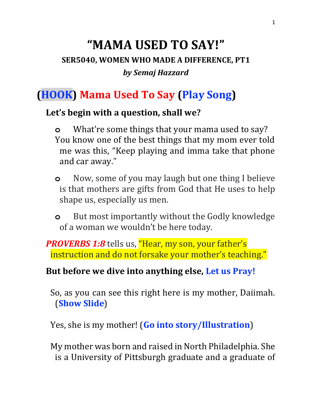# **"MAMA USED TO SAY!" SER5040, WOMEN WHO MADE A DIFFERENCE, PT1** *by Semaj Hazzard*

## **(HOOK) Mama Used To Say (Play Song)**

#### **Let's begin with a question, shall we?**

- **o** What're some things that your mama used to say? You know one of the best things that my mom ever told me was this, "Keep playing and imma take that phone and car away."
- **o** Now, some of you may laugh but one thing I believe is that mothers are gifts from God that He uses to help shape us, especially us men.
- **o** But most importantly without the Godly knowledge of a woman we wouldn't be here today.

**PROVERBS 1:8** tells us, "Hear, my son, your father's instruction and do not forsake your mother's teaching."

#### **But before we dive into anything else, Let us Pray!**

So, as you can see this right here is my mother, Daiimah. (**Show Slide**)

Yes, she is my mother! (**Go into story/Illustration**)

My mother was born and raised in North Philadelphia. She is a University of Pittsburgh graduate and a graduate of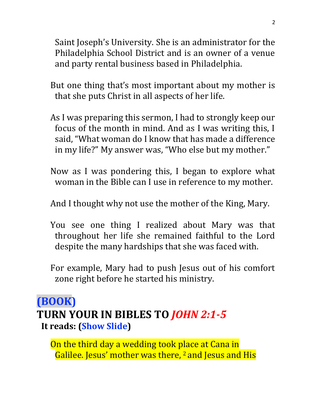Saint Joseph's University. She is an administrator for the Philadelphia School District and is an owner of a venue and party rental business based in Philadelphia.

- But one thing that's most important about my mother is that she puts Christ in all aspects of her life.
- As I was preparing this sermon, I had to strongly keep our focus of the month in mind. And as I was writing this, I said, "What woman do I know that has made a difference in my life?" My answer was, "Who else but my mother."
- Now as I was pondering this, I began to explore what woman in the Bible can I use in reference to my mother.
- And I thought why not use the mother of the King, Mary.
- You see one thing I realized about Mary was that throughout her life she remained faithful to the Lord despite the many hardships that she was faced with.
- For example, Mary had to push Jesus out of his comfort zone right before he started his ministry.

### **(BOOK) TURN YOUR IN BIBLES TO** *JOHN 2:1-5* **It reads: (Show Slide)**

On the third day a wedding took place at Cana in Galilee. Jesus' mother was there, <sup>2</sup> and Jesus and His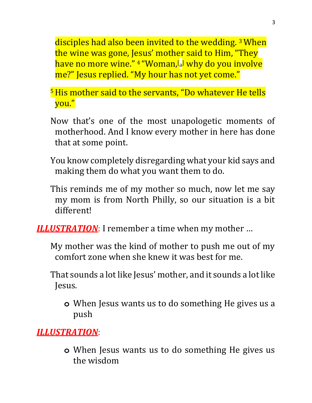disciples had also been invited to the wedding. <sup>3</sup>When the wine was gone, Jesus' mother said to Him, "They have no more wine." <sup>4</sup> "Woman,[ [a](https://www.biblegateway.com/passage/?search=John+2&version=NIV#fen-NIV-26100a) ] why do you involve me?" Jesus replied. "My hour has not yet come."

- <sup>5</sup>His mother said to the servants, "Do whatever He tells you."
- Now that's one of the most unapologetic moments of motherhood. And I know every mother in here has done that at some point.
- You know completely disregarding what your kid says and making them do what you want them to do.
- This reminds me of my mother so much, now let me say my mom is from North Philly, so our situation is a bit different!

*ILLUSTRATION*: I remember a time when my mother …

- My mother was the kind of mother to push me out of my comfort zone when she knew it was best for me.
- That sounds a lot like Jesus' mother, and it sounds a lot like Jesus.
	- **o** When Jesus wants us to do something He gives us a push

*ILLUSTRATION*:

**o** When Jesus wants us to do something He gives us the wisdom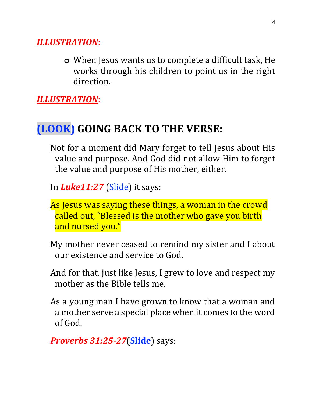#### *ILLUSTRATION*:

**o** When Jesus wants us to complete a difficult task, He works through his children to point us in the right direction.

*ILLUSTRATION*:

## **(LOOK) GOING BACK TO THE VERSE:**

Not for a moment did Mary forget to tell Jesus about His value and purpose. And God did not allow Him to forget the value and purpose of His mother, either.

In *Luke11:27* (Slide) it says:

- As Jesus was saying these things, a woman in the crowd called out, "Blessed is the mother who gave you birth and nursed you."
- My mother never ceased to remind my sister and I about our existence and service to God.
- And for that, just like Jesus, I grew to love and respect my mother as the Bible tells me.
- As a young man I have grown to know that a woman and a mother serve a special place when it comes to the word of God.

*Proverbs 31:25-27*(**Slide**) says: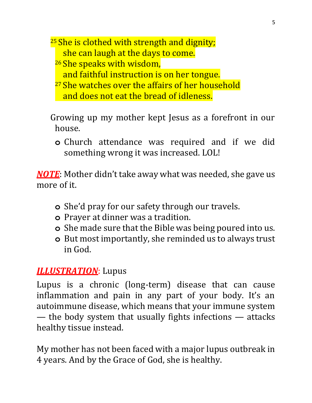$25$  She is clothed with strength and dignity; she can laugh at the days to come.

- <sup>26</sup> She speaks with wisdom,
	- and faithful instruction is on her tongue.
- <sup>27</sup> She watches over the affairs of her household and does not eat the bread of idleness.
- Growing up my mother kept Jesus as a forefront in our house.
	- **o** Church attendance was required and if we did something wrong it was increased. LOL!

*NOTE*: Mother didn't take away what was needed, she gave us more of it.

- **o** She'd pray for our safety through our travels.
- **o** Prayer at dinner was a tradition.
- **o** She made sure that the Bible was being poured into us.
- **o** But most importantly, she reminded us to always trust in God.

#### *ILLUSTRATION*: Lupus

Lupus is a chronic (long-term) disease that can cause inflammation and pain in any part of your body. It's an autoimmune disease, which means that your immune system — the body system that usually fights infections — attacks healthy tissue instead.

My mother has not been faced with a major lupus outbreak in 4 years. And by the Grace of God, she is healthy.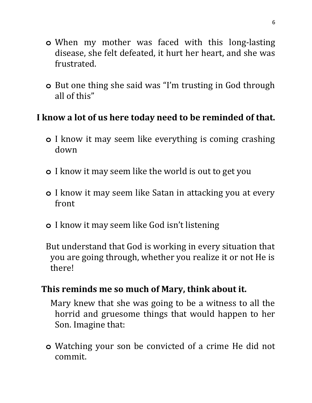- **o** When my mother was faced with this long-lasting disease, she felt defeated, it hurt her heart, and she was frustrated.
- **o** But one thing she said was "I'm trusting in God through all of this"

#### **I know a lot of us here today need to be reminded of that.**

- **o** I know it may seem like everything is coming crashing down
- **o** I know it may seem like the world is out to get you
- **o** I know it may seem like Satan in attacking you at every front
- **o** I know it may seem like God isn't listening
- But understand that God is working in every situation that you are going through, whether you realize it or not He is there!

#### **This reminds me so much of Mary, think about it.**

Mary knew that she was going to be a witness to all the horrid and gruesome things that would happen to her Son. Imagine that:

**o** Watching your son be convicted of a crime He did not commit.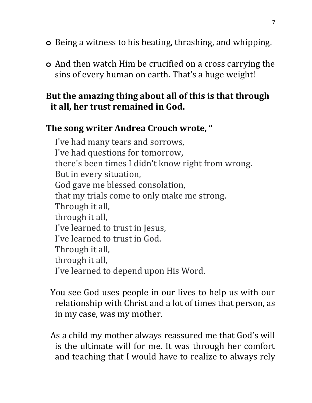- **o** Being a witness to his beating, thrashing, and whipping.
- **o** And then watch Him be crucified on a cross carrying the sins of every human on earth. That's a huge weight!

#### **But the amazing thing about all of this is that through it all, her trust remained in God.**

#### **The song writer Andrea Crouch wrote, "**

I've had many tears and sorrows, I've had questions for tomorrow, there's been times I didn't know right from wrong. But in every situation, God gave me blessed consolation, that my trials come to only make me strong. Through it all, through it all, I've learned to trust in Jesus, I've learned to trust in God. Through it all, through it all, I've learned to depend upon His Word.

You see God uses people in our lives to help us with our relationship with Christ and a lot of times that person, as in my case, was my mother.

As a child my mother always reassured me that God's will is the ultimate will for me. It was through her comfort and teaching that I would have to realize to always rely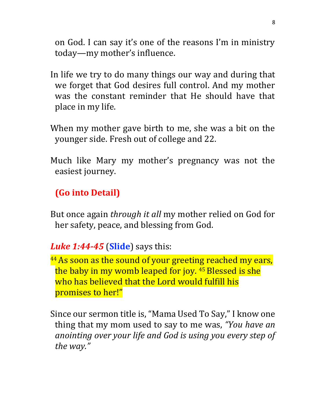on God. I can say it's one of the reasons I'm in ministry today—my mother's influence.

- In life we try to do many things our way and during that we forget that God desires full control. And my mother was the constant reminder that He should have that place in my life.
- When my mother gave birth to me, she was a bit on the younger side. Fresh out of college and 22.
- Much like Mary my mother's pregnancy was not the easiest journey.

#### **(Go into Detail)**

But once again *through it all* my mother relied on God for her safety, peace, and blessing from God.

*Luke 1:44-45* (**Slide**) says this:

<sup>44</sup> As soon as the sound of your greeting reached my ears, the baby in my womb leaped for joy. 45 Blessed is she who has believed that the Lord would fulfill his promises to her!"

Since our sermon title is, "Mama Used To Say," I know one thing that my mom used to say to me was, *"You have an anointing over your life and God is using you every step of the way."*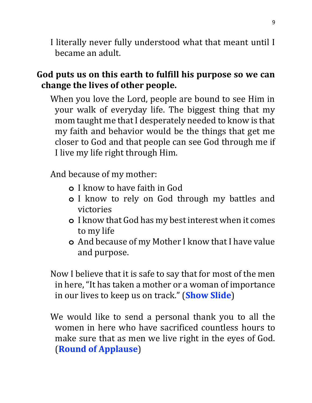I literally never fully understood what that meant until I became an adult.

#### **God puts us on this earth to fulfill his purpose so we can change the lives of other people.**

When you love the Lord, people are bound to see Him in your walk of everyday life. The biggest thing that my mom taught me that I desperately needed to know is that my faith and behavior would be the things that get me closer to God and that people can see God through me if I live my life right through Him.

And because of my mother:

- **o** I know to have faith in God
- **o** I know to rely on God through my battles and victories
- **o** I know that God has my best interest when it comes to my life
- **o** And because of my Mother I know that I have value and purpose.

Now I believe that it is safe to say that for most of the men in here, "It has taken a mother or a woman of importance in our lives to keep us on track." (**Show Slide**)

We would like to send a personal thank you to all the women in here who have sacrificed countless hours to make sure that as men we live right in the eyes of God. (**Round of Applause**)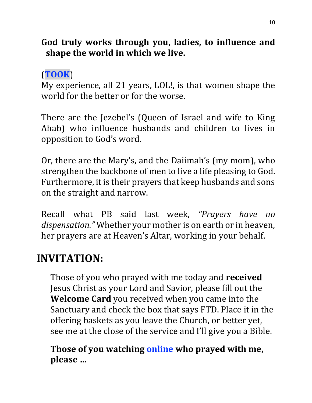#### **God truly works through you, ladies, to influence and shape the world in which we live.**

### (**TOOK**)

My experience, all 21 years, LOL!, is that women shape the world for the better or for the worse.

There are the Jezebel's (Queen of Israel and wife to King Ahab) who influence husbands and children to lives in opposition to God's word.

Or, there are the Mary's, and the Daiimah's (my mom), who strengthen the backbone of men to live a life pleasing to God. Furthermore, it is their prayers that keep husbands and sons on the straight and narrow.

Recall what PB said last week, *"Prayers have no dispensation."* Whether your mother is on earth or in heaven, her prayers are at Heaven's Altar, working in your behalf.

# **INVITATION:**

Those of you who prayed with me today and **received**  Jesus Christ as your Lord and Savior, please fill out the **Welcome Card** you received when you came into the Sanctuary and check the box that says FTD. Place it in the offering baskets as you leave the Church, or better yet, see me at the close of the service and I'll give you a Bible.

**Those of you watching online who prayed with me, please …**